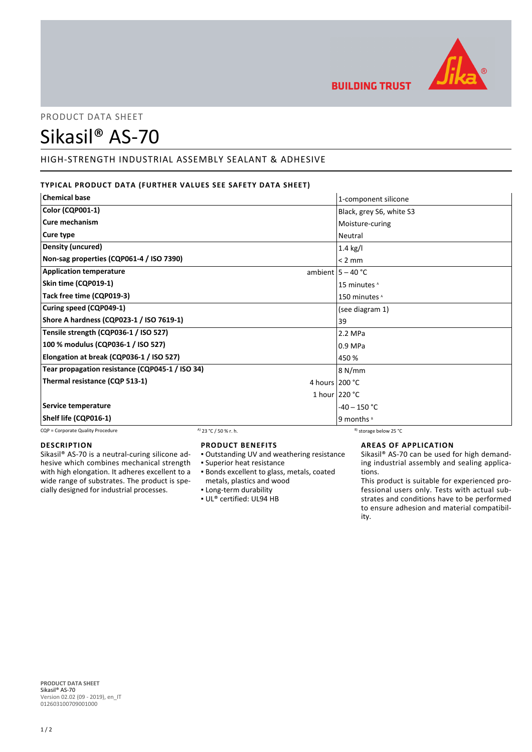

**BUILDING TRUST** 

PRODUCT DATA SHEET

# Sikasil® AS-70

# HIGH-STRENGTH INDUSTRIAL ASSEMBLY SEALANT & ADHESIVE

# **TYPICAL PRODUCT DATA (FURTHER VALUES SEE SAFETY DATA SHEET)**

| <b>Chemical base</b>                            |                                  | 1-component silicone              |
|-------------------------------------------------|----------------------------------|-----------------------------------|
| <b>Color (CQP001-1)</b>                         |                                  | Black, grey S6, white S3          |
| <b>Cure mechanism</b>                           |                                  | Moisture-curing                   |
| Cure type                                       |                                  | Neutral                           |
| Density (uncured)                               |                                  | $1.4$ kg/l                        |
| Non-sag properties (CQP061-4 / ISO 7390)        |                                  | $< 2$ mm                          |
| <b>Application temperature</b>                  |                                  | ambient $5 - 40$ °C               |
| Skin time (CQP019-1)                            |                                  | 15 minutes <sup>A</sup>           |
| Tack free time (CQP019-3)                       |                                  | 150 minutes <sup>A</sup>          |
| Curing speed (CQP049-1)                         |                                  | (see diagram 1)                   |
| Shore A hardness (CQP023-1 / ISO 7619-1)        |                                  | 39                                |
| Tensile strength (CQP036-1 / ISO 527)           |                                  | 2.2 MPa                           |
| 100 % modulus (CQP036-1 / ISO 527)              |                                  | 0.9 MPa                           |
| Elongation at break (CQP036-1 / ISO 527)        |                                  | 450 %                             |
| Tear propagation resistance (CQP045-1 / ISO 34) |                                  | 8 N/mm                            |
| Thermal resistance (CQP 513-1)                  |                                  | 4 hours 200 °C                    |
|                                                 |                                  | 1 hour $220 °C$                   |
| Service temperature                             |                                  | $-40 - 150$ °C                    |
| Shelf life (CQP016-1)                           |                                  | 9 months <sup>8</sup>             |
| CQP = Corporate Quality Procedure               | <sup>A)</sup> 23 °C / 50 % r. h. | <sup>B)</sup> storage below 25 °C |

#### **DESCRIPTION**

Sikasil® AS-70 is a neutral-curing silicone adhesive which combines mechanical strength with high elongation. It adheres excellent to a wide range of substrates. The product is specially designed for industrial processes.

## **PRODUCT BENEFITS**

- Outstanding UV and weathering resistance
- Superior heat resistance
- **Bonds excellent to glass, metals, coated** metals, plastics and wood
- Long-term durability
- UL® certified: UL94 HB

## **AREAS OF APPLICATION**

Sikasil® AS-70 can be used for high demanding industrial assembly and sealing applications.

This product is suitable for experienced professional users only. Tests with actual substrates and conditions have to be performed to ensure adhesion and material compatibility.